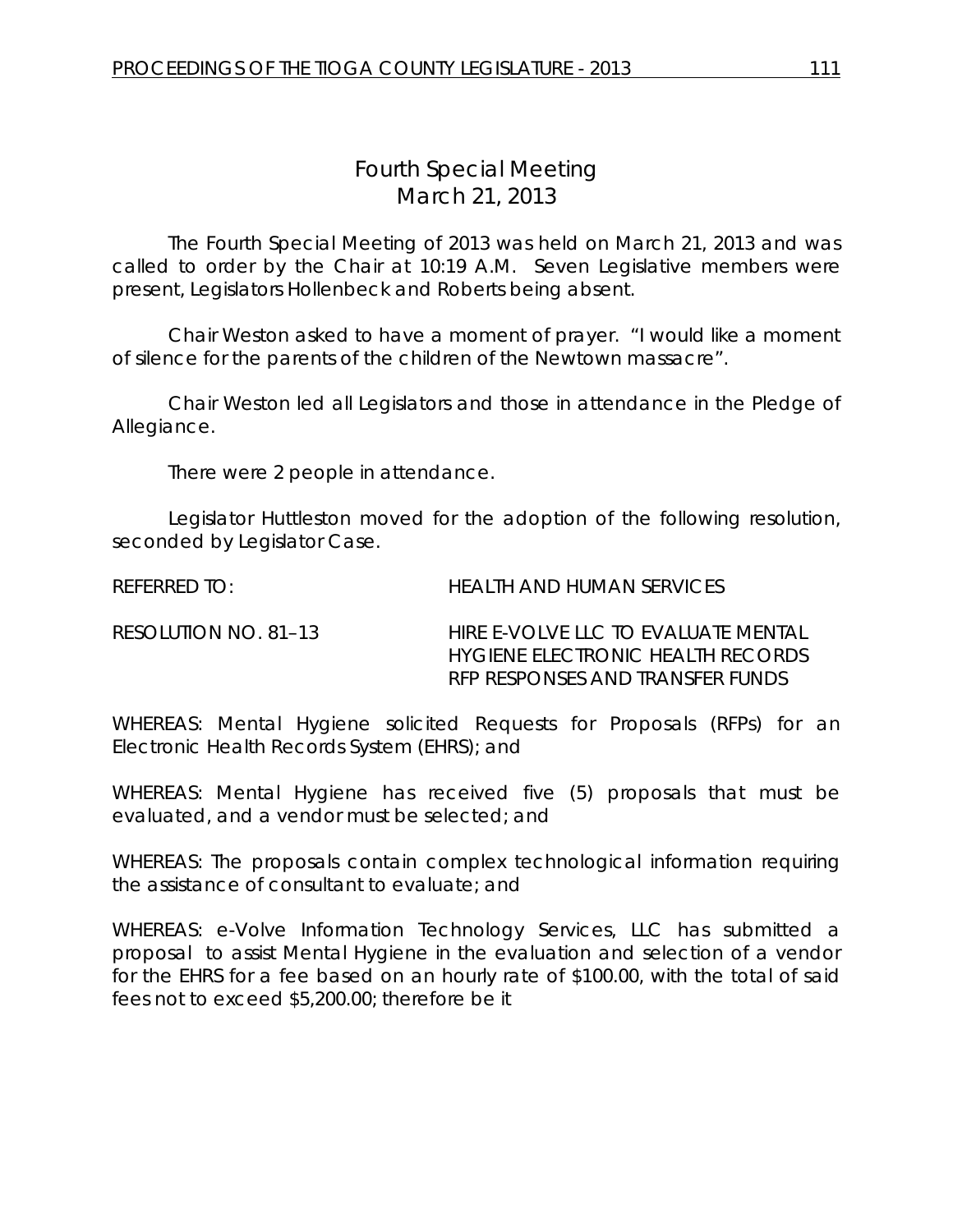## *Fourth Special Meeting* March 21, 2013

The Fourth Special Meeting of 2013 was held on March 21, 2013 and was called to order by the Chair at 10:19 A.M. Seven Legislative members were present, Legislators Hollenbeck and Roberts being absent.

Chair Weston asked to have a moment of prayer. "I would like a moment of silence for the parents of the children of the Newtown massacre".

Chair Weston led all Legislators and those in attendance in the Pledge of Allegiance.

There were 2 people in attendance.

Legislator Huttleston moved for the adoption of the following resolution, seconded by Legislator Case.

REFERRED TO: HEALTH AND HUMAN SERVICES

| RESOLUTION NO. 81–13 | HIRE E-VOLVE LLC TO EVALUATE MENTAL |
|----------------------|-------------------------------------|
|                      | HYGIENE ELECTRONIC HEALTH RECORDS   |
|                      | RFP RESPONSES AND TRANSFER FUNDS    |

WHEREAS: Mental Hygiene solicited Requests for Proposals (RFPs) for an Electronic Health Records System (EHRS); and

WHEREAS: Mental Hygiene has received five (5) proposals that must be evaluated, and a vendor must be selected; and

WHEREAS: The proposals contain complex technological information requiring the assistance of consultant to evaluate; and

WHEREAS: e-Volve Information Technology Services, LLC has submitted a proposal to assist Mental Hygiene in the evaluation and selection of a vendor for the EHRS for a fee based on an hourly rate of \$100.00, with the total of said fees not to exceed \$5,200.00; therefore be it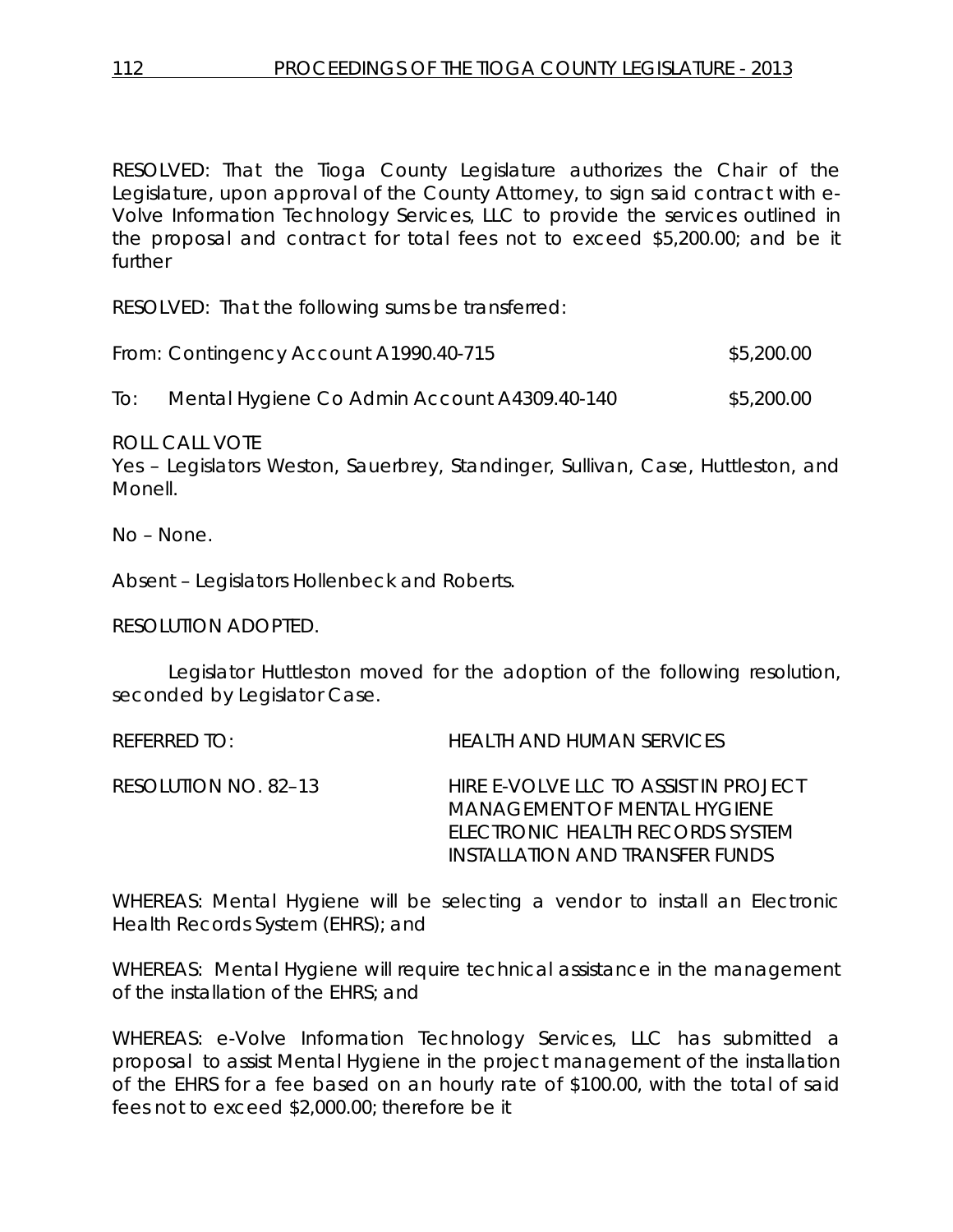RESOLVED: That the Tioga County Legislature authorizes the Chair of the Legislature, upon approval of the County Attorney, to sign said contract with e-Volve Information Technology Services, LLC to provide the services outlined in the proposal and contract for total fees not to exceed \$5,200.00; and be it further

RESOLVED: That the following sums be transferred:

| From: Contingency Account A1990.40-715 | \$5,200.00 |
|----------------------------------------|------------|
|                                        |            |

To: Mental Hygiene Co Admin Account A4309.40-140 \$5,200.00

ROLL CALL VOTE

Yes – Legislators Weston, Sauerbrey, Standinger, Sullivan, Case, Huttleston, and Monell.

No – None.

Absent – Legislators Hollenbeck and Roberts.

RESOLUTION ADOPTED.

Legislator Huttleston moved for the adoption of the following resolution, seconded by Legislator Case.

REFERRED TO: HEALTH AND HUMAN SERVICES

RESOLUTION NO. 82–13 *HIRE E-VOLVE LLC TO ASSIST IN PROJECT MANAGEMENT OF MENTAL HYGIENE ELECTRONIC HEALTH RECORDS SYSTEM INSTALLATION AND TRANSFER FUNDS*

WHEREAS: Mental Hygiene will be selecting a vendor to install an Electronic Health Records System (EHRS); and

WHEREAS: Mental Hygiene will require technical assistance in the management of the installation of the EHRS; and

WHEREAS: e-Volve Information Technology Services, LLC has submitted a proposal to assist Mental Hygiene in the project management of the installation of the EHRS for a fee based on an hourly rate of \$100.00, with the total of said fees not to exceed \$2,000.00; therefore be it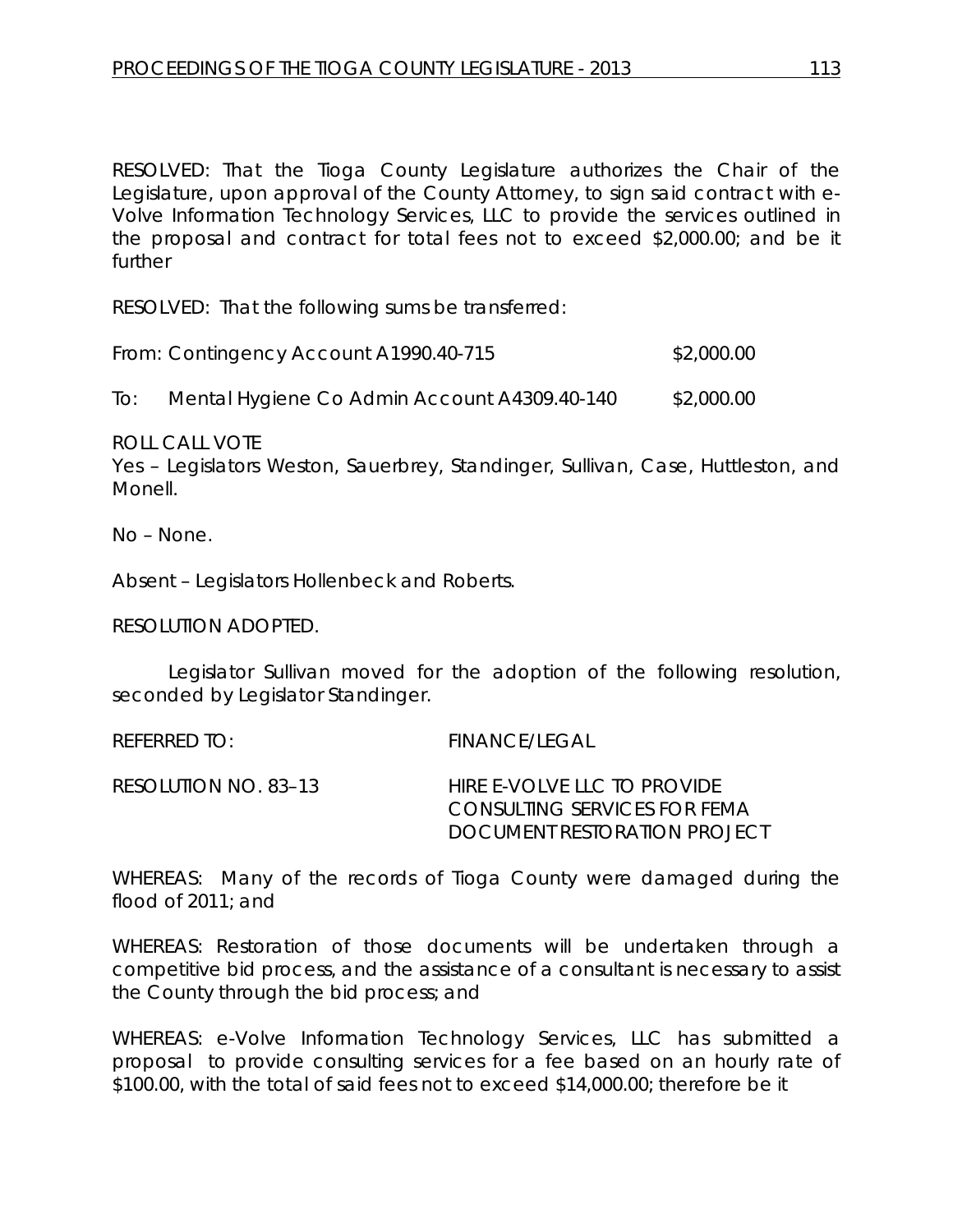RESOLVED: That the Tioga County Legislature authorizes the Chair of the Legislature, upon approval of the County Attorney, to sign said contract with e-Volve Information Technology Services, LLC to provide the services outlined in the proposal and contract for total fees not to exceed \$2,000.00; and be it further

RESOLVED: That the following sums be transferred:

| From: Contingency Account A1990.40-715 | \$2,000.00 |
|----------------------------------------|------------|
|----------------------------------------|------------|

To: Mental Hygiene Co Admin Account A4309.40-140 \$2,000.00

ROLL CALL VOTE

Yes – Legislators Weston, Sauerbrey, Standinger, Sullivan, Case, Huttleston, and Monell.

No – None.

Absent – Legislators Hollenbeck and Roberts.

RESOLUTION ADOPTED.

Legislator Sullivan moved for the adoption of the following resolution, seconded by Legislator Standinger.

REFERRED TO: FINANCE/LEGAL

RESOLUTION NO. 83–13 *HIRE E-VOLVE LLC TO PROVIDE CONSULTING SERVICES FOR FEMA DOCUMENT RESTORATION PROJECT*

WHEREAS: Many of the records of Tioga County were damaged during the flood of 2011; and

WHEREAS: Restoration of those documents will be undertaken through a competitive bid process, and the assistance of a consultant is necessary to assist the County through the bid process; and

WHEREAS: e-Volve Information Technology Services, LLC has submitted a proposal to provide consulting services for a fee based on an hourly rate of \$100.00, with the total of said fees not to exceed \$14,000.00; therefore be it